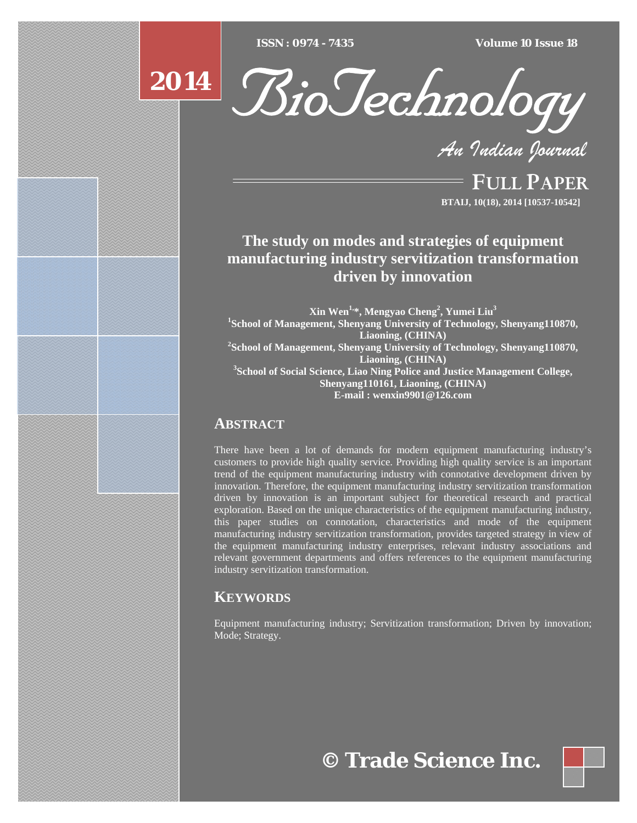$ISSN : 0974 - 7435$ 

*ISSN : 0974 - 7435 Volume 10 Issue 18*





*An Indian Journal*

FULL PAPER **BTAIJ, 10(18), 2014 [10537-10542]**

# **The study on modes and strategies of equipment manufacturing industry servitization transformation driven by innovation**

**Xin Wen1,\*, Mengyao Cheng2 , Yumei Liu3 1 School of Management, Shenyang University of Technology, Shenyang110870, Liaoning, (CHINA) 2 School of Management, Shenyang University of Technology, Shenyang110870, Liaoning, (CHINA) 3 School of Social Science, Liao Ning Police and Justice Management College, Shenyang110161, Liaoning, (CHINA) E-mail : wenxin9901@126.com**

# **ABSTRACT**

There have been a lot of demands for modern equipment manufacturing industry's customers to provide high quality service. Providing high quality service is an important trend of the equipment manufacturing industry with connotative development driven by innovation. Therefore, the equipment manufacturing industry servitization transformation driven by innovation is an important subject for theoretical research and practical exploration. Based on the unique characteristics of the equipment manufacturing industry, this paper studies on connotation, characteristics and mode of the equipment manufacturing industry servitization transformation, provides targeted strategy in view of the equipment manufacturing industry enterprises, relevant industry associations and relevant government departments and offers references to the equipment manufacturing industry servitization transformation.

# **KEYWORDS**

Equipment manufacturing industry; Servitization transformation; Driven by innovation; Mode; Strategy.

# **© Trade Science Inc.**

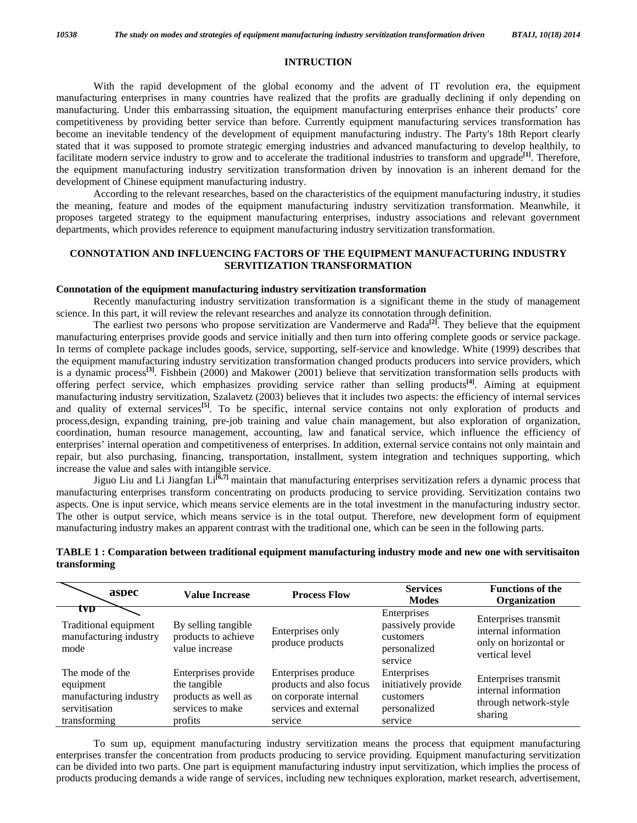#### **INTRUCTION**

 With the rapid development of the global economy and the advent of IT revolution era, the equipment manufacturing enterprises in many countries have realized that the profits are gradually declining if only depending on manufacturing. Under this embarrassing situation, the equipment manufacturing enterprises enhance their products' core competitiveness by providing better service than before. Currently equipment manufacturing services transformation has become an inevitable tendency of the development of equipment manufacturing industry. The Party's 18th Report clearly stated that it was supposed to promote strategic emerging industries and advanced manufacturing to develop healthily, to facilitate modern service industry to grow and to accelerate the traditional industries to transform and upgrade**[1]**. Therefore, the equipment manufacturing industry servitization transformation driven by innovation is an inherent demand for the development of Chinese equipment manufacturing industry.

 According to the relevant researches, based on the characteristics of the equipment manufacturing industry, it studies the meaning, feature and modes of the equipment manufacturing industry servitization transformation. Meanwhile, it proposes targeted strategy to the equipment manufacturing enterprises, industry associations and relevant government departments, which provides reference to equipment manufacturing industry servitization transformation.

# **CONNOTATION AND INFLUENCING FACTORS OF THE EQUIPMENT MANUFACTURING INDUSTRY SERVITIZATION TRANSFORMATION**

#### **Connotation of the equipment manufacturing industry servitization transformation**

 Recently manufacturing industry servitization transformation is a significant theme in the study of management science. In this part, it will review the relevant researches and analyze its connotation through definition.

 The earliest two persons who propose servitization are Vandermerve and Rada**[2]**. They believe that the equipment manufacturing enterprises provide goods and service initially and then turn into offering complete goods or service package. In terms of complete package includes goods, service, supporting, self-service and knowledge. White (1999) describes that the equipment manufacturing industry servitization transformation changed products producers into service providers, which is a dynamic process**[3]**. Fishbein (2000) and Makower (2001) believe that servitization transformation sells products with offering perfect service, which emphasizes providing service rather than selling products**[4]**. Aiming at equipment manufacturing industry servitization, Szalavetz (2003) believes that it includes two aspects: the efficiency of internal services and quality of external services**[5]**. To be specific, internal service contains not only exploration of products and process,design, expanding training, pre-job training and value chain management, but also exploration of organization, coordination, human resource management, accounting, law and fanatical service, which influence the efficiency of enterprises' internal operation and competitiveness of enterprises. In addition, external service contains not only maintain and repair, but also purchasing, financing, transportation, installment, system integration and techniques supporting, which increase the value and sales with intangible service.

 Jiguo Liu and Li Jiangfan Li**[6,7]** maintain that manufacturing enterprises servitization refers a dynamic process that manufacturing enterprises transform concentrating on products producing to service providing. Servitization contains two aspects. One is input service, which means service elements are in the total investment in the manufacturing industry sector. The other is output service, which means service is in the total output. Therefore, new development form of equipment manufacturing industry makes an apparent contrast with the traditional one, which can be seen in the following parts.

| aspec                                                                                   | <b>Value Increase</b>                                                                     | <b>Process Flow</b>                                                                                         | <b>Services</b><br><b>Modes</b>                                             | <b>Functions of the</b><br>Organization                                                 |
|-----------------------------------------------------------------------------------------|-------------------------------------------------------------------------------------------|-------------------------------------------------------------------------------------------------------------|-----------------------------------------------------------------------------|-----------------------------------------------------------------------------------------|
| tvp<br>Traditional equipment<br>manufacturing industry<br>mode                          | By selling tangible<br>products to achieve<br>value increase                              | Enterprises only<br>produce products                                                                        | Enterprises<br>passively provide<br>customers<br>personalized<br>service    | Enterprises transmit<br>internal information<br>only on horizontal or<br>vertical level |
| The mode of the<br>equipment<br>manufacturing industry<br>servitisation<br>transforming | Enterprises provide<br>the tangible<br>products as well as<br>services to make<br>profits | Enterprises produce<br>products and also focus<br>on corporate internal<br>services and external<br>service | Enterprises<br>initiatively provide<br>customers<br>personalized<br>service | Enterprises transmit<br>internal information<br>through network-style<br>sharing        |

# **TABLE 1 : Comparation between traditional equipment manufacturing industry mode and new one with servitisaiton transforming**

 To sum up, equipment manufacturing industry servitization means the process that equipment manufacturing enterprises transfer the concentration from products producing to service providing. Equipment manufacturing servitization can be divided into two parts. One part is equipment manufacturing industry input servitization, which implies the process of products producing demands a wide range of services, including new techniques exploration, market research, advertisement,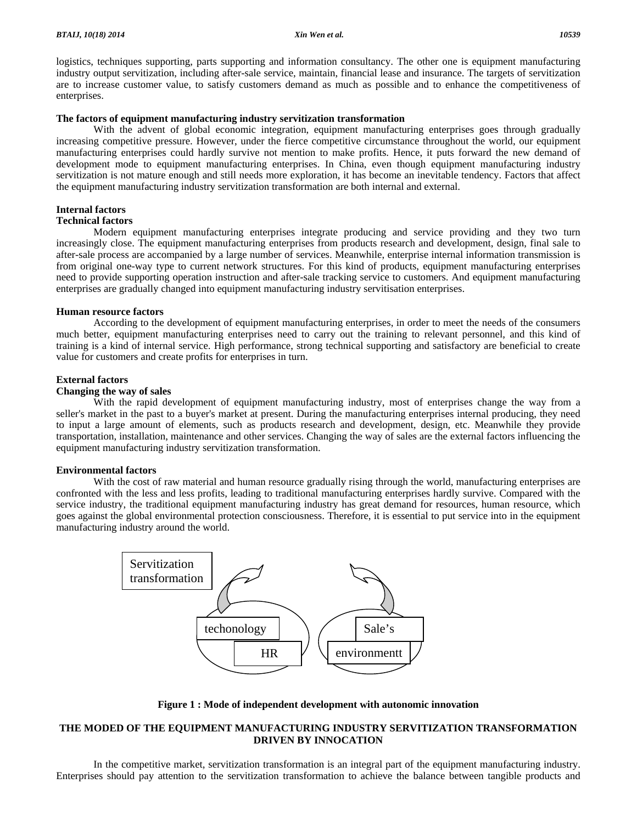logistics, techniques supporting, parts supporting and information consultancy. The other one is equipment manufacturing industry output servitization, including after-sale service, maintain, financial lease and insurance. The targets of servitization are to increase customer value, to satisfy customers demand as much as possible and to enhance the competitiveness of enterprises.

# **The factors of equipment manufacturing industry servitization transformation**

 With the advent of global economic integration, equipment manufacturing enterprises goes through gradually increasing competitive pressure. However, under the fierce competitive circumstance throughout the world, our equipment manufacturing enterprises could hardly survive not mention to make profits. Hence, it puts forward the new demand of development mode to equipment manufacturing enterprises. In China, even though equipment manufacturing industry servitization is not mature enough and still needs more exploration, it has become an inevitable tendency. Factors that affect the equipment manufacturing industry servitization transformation are both internal and external.

# **Internal factors**

# **Technical factors**

 Modern equipment manufacturing enterprises integrate producing and service providing and they two turn increasingly close. The equipment manufacturing enterprises from products research and development, design, final sale to after-sale process are accompanied by a large number of services. Meanwhile, enterprise internal information transmission is from original one-way type to current network structures. For this kind of products, equipment manufacturing enterprises need to provide supporting operation instruction and after-sale tracking service to customers. And equipment manufacturing enterprises are gradually changed into equipment manufacturing industry servitisation enterprises.

#### **Human resource factors**

 According to the development of equipment manufacturing enterprises, in order to meet the needs of the consumers much better, equipment manufacturing enterprises need to carry out the training to relevant personnel, and this kind of training is a kind of internal service. High performance, strong technical supporting and satisfactory are beneficial to create value for customers and create profits for enterprises in turn.

# **External factors**

#### **Changing the way of sales**

 With the rapid development of equipment manufacturing industry, most of enterprises change the way from a seller's market in the past to a buyer's market at present. During the manufacturing enterprises internal producing, they need to input a large amount of elements, such as products research and development, design, etc. Meanwhile they provide transportation, installation, maintenance and other services. Changing the way of sales are the external factors influencing the equipment manufacturing industry servitization transformation.

# **Environmental factors**

With the cost of raw material and human resource gradually rising through the world, manufacturing enterprises are confronted with the less and less profits, leading to traditional manufacturing enterprises hardly survive. Compared with the service industry, the traditional equipment manufacturing industry has great demand for resources, human resource, which goes against the global environmental protection consciousness. Therefore, it is essential to put service into in the equipment manufacturing industry around the world.



#### **Figure 1 : Mode of independent development with autonomic innovation**

# **THE MODED OF THE EQUIPMENT MANUFACTURING INDUSTRY SERVITIZATION TRANSFORMATION DRIVEN BY INNOCATION**

 In the competitive market, servitization transformation is an integral part of the equipment manufacturing industry. Enterprises should pay attention to the servitization transformation to achieve the balance between tangible products and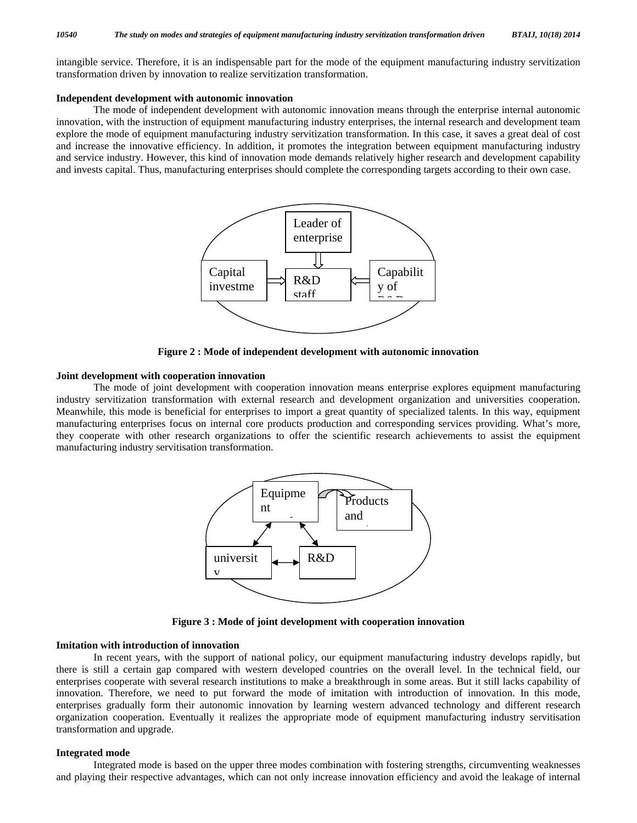intangible service. Therefore, it is an indispensable part for the mode of the equipment manufacturing industry servitization transformation driven by innovation to realize servitization transformation.

#### **Independent development with autonomic innovation**

 The mode of independent development with autonomic innovation means through the enterprise internal autonomic innovation, with the instruction of equipment manufacturing industry enterprises, the internal research and development team explore the mode of equipment manufacturing industry servitization transformation. In this case, it saves a great deal of cost and increase the innovative efficiency. In addition, it promotes the integration between equipment manufacturing industry and service industry. However, this kind of innovation mode demands relatively higher research and development capability and invests capital. Thus, manufacturing enterprises should complete the corresponding targets according to their own case.



**Figure 2 : Mode of independent development with autonomic innovation** 

## **Joint development with cooperation innovation**

 The mode of joint development with cooperation innovation means enterprise explores equipment manufacturing industry servitization transformation with external research and development organization and universities cooperation. Meanwhile, this mode is beneficial for enterprises to import a great quantity of specialized talents. In this way, equipment manufacturing enterprises focus on internal core products production and corresponding services providing. What's more, they cooperate with other research organizations to offer the scientific research achievements to assist the equipment manufacturing industry servitisation transformation.



**Figure 3 : Mode of joint development with cooperation innovation** 

# **Imitation with introduction of innovation**

 In recent years, with the support of national policy, our equipment manufacturing industry develops rapidly, but there is still a certain gap compared with western developed countries on the overall level. In the technical field, our enterprises cooperate with several research institutions to make a breakthrough in some areas. But it still lacks capability of innovation. Therefore, we need to put forward the mode of imitation with introduction of innovation. In this mode, enterprises gradually form their autonomic innovation by learning western advanced technology and different research organization cooperation. Eventually it realizes the appropriate mode of equipment manufacturing industry servitisation transformation and upgrade.

#### **Integrated mode**

 Integrated mode is based on the upper three modes combination with fostering strengths, circumventing weaknesses and playing their respective advantages, which can not only increase innovation efficiency and avoid the leakage of internal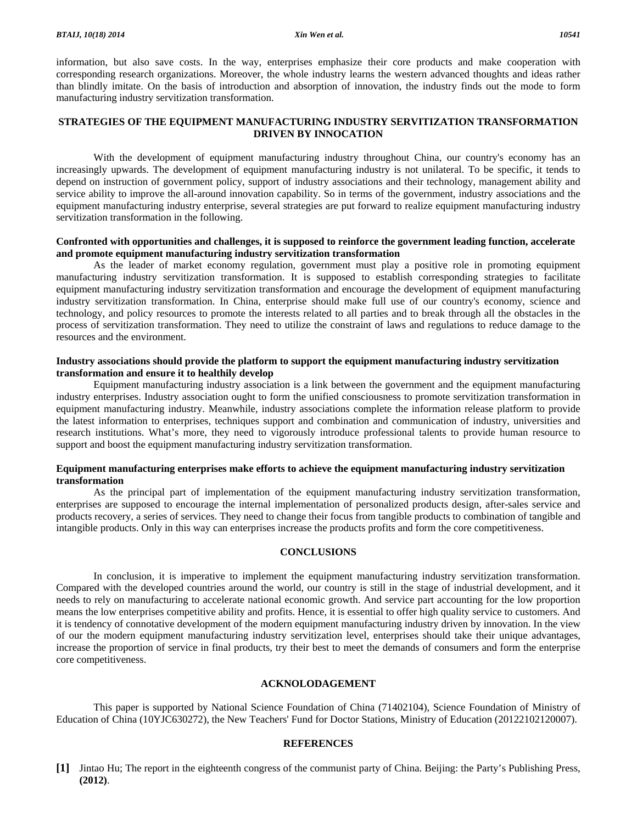information, but also save costs. In the way, enterprises emphasize their core products and make cooperation with corresponding research organizations. Moreover, the whole industry learns the western advanced thoughts and ideas rather than blindly imitate. On the basis of introduction and absorption of innovation, the industry finds out the mode to form manufacturing industry servitization transformation.

# **STRATEGIES OF THE EQUIPMENT MANUFACTURING INDUSTRY SERVITIZATION TRANSFORMATION DRIVEN BY INNOCATION**

 With the development of equipment manufacturing industry throughout China, our country's economy has an increasingly upwards. The development of equipment manufacturing industry is not unilateral. To be specific, it tends to depend on instruction of government policy, support of industry associations and their technology, management ability and service ability to improve the all-around innovation capability. So in terms of the government, industry associations and the equipment manufacturing industry enterprise, several strategies are put forward to realize equipment manufacturing industry servitization transformation in the following.

# **Confronted with opportunities and challenges, it is supposed to reinforce the government leading function, accelerate and promote equipment manufacturing industry servitization transformation**

 As the leader of market economy regulation, government must play a positive role in promoting equipment manufacturing industry servitization transformation. It is supposed to establish corresponding strategies to facilitate equipment manufacturing industry servitization transformation and encourage the development of equipment manufacturing industry servitization transformation. In China, enterprise should make full use of our country's economy, science and technology, and policy resources to promote the interests related to all parties and to break through all the obstacles in the process of servitization transformation. They need to utilize the constraint of laws and regulations to reduce damage to the resources and the environment.

# **Industry associations should provide the platform to support the equipment manufacturing industry servitization transformation and ensure it to healthily develop**

 Equipment manufacturing industry association is a link between the government and the equipment manufacturing industry enterprises. Industry association ought to form the unified consciousness to promote servitization transformation in equipment manufacturing industry. Meanwhile, industry associations complete the information release platform to provide the latest information to enterprises, techniques support and combination and communication of industry, universities and research institutions. What's more, they need to vigorously introduce professional talents to provide human resource to support and boost the equipment manufacturing industry servitization transformation.

# **Equipment manufacturing enterprises make efforts to achieve the equipment manufacturing industry servitization transformation**

 As the principal part of implementation of the equipment manufacturing industry servitization transformation, enterprises are supposed to encourage the internal implementation of personalized products design, after-sales service and products recovery, a series of services. They need to change their focus from tangible products to combination of tangible and intangible products. Only in this way can enterprises increase the products profits and form the core competitiveness.

## **CONCLUSIONS**

 In conclusion, it is imperative to implement the equipment manufacturing industry servitization transformation. Compared with the developed countries around the world, our country is still in the stage of industrial development, and it needs to rely on manufacturing to accelerate national economic growth. And service part accounting for the low proportion means the low enterprises competitive ability and profits. Hence, it is essential to offer high quality service to customers. And it is tendency of connotative development of the modern equipment manufacturing industry driven by innovation. In the view of our the modern equipment manufacturing industry servitization level, enterprises should take their unique advantages, increase the proportion of service in final products, try their best to meet the demands of consumers and form the enterprise core competitiveness.

#### **ACKNOLODAGEMENT**

 This paper is supported by National Science Foundation of China (71402104), Science Foundation of Ministry of Education of China (10YJC630272), the New Teachers' Fund for Doctor Stations, Ministry of Education (20122102120007).

#### **REFERENCES**

**[1]** Jintao Hu; The report in the eighteenth congress of the communist party of China. Beijing: the Party's Publishing Press, **(2012)**.